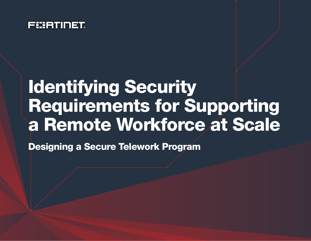

# Identifying Security Requirements for Supporting a Remote Workforce at Scale

Designing a Secure Telework Program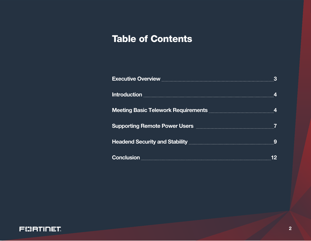## Table of Contents

| <b>Executive Overview</b>                                                                                                                                           | З |
|---------------------------------------------------------------------------------------------------------------------------------------------------------------------|---|
|                                                                                                                                                                     | Δ |
|                                                                                                                                                                     | Δ |
| <b>Supporting Remote Power Users</b><br><b>Headend Security and Stability Manual Property Act of Security and Stability Manual Property Act of Act of Stability</b> | 9 |
|                                                                                                                                                                     |   |

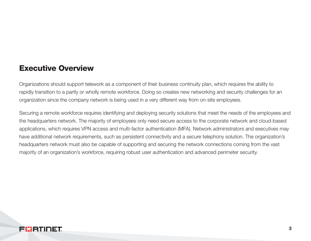## Executive Overview

Organizations should support telework as a component of their business continuity plan, which requires the ability to rapidly transition to a partly or wholly remote workforce. Doing so creates new networking and security challenges for an organization since the company network is being used in a very different way from on-site employees.

Securing a remote workforce requires identifying and deploying security solutions that meet the needs of the employees and the headquarters network. The majority of employees only need secure access to the corporate network and cloud-based applications, which requires VPN access and multi-factor authentication (MFA). Network administrators and executives may have additional network requirements, such as persistent connectivity and a secure telephony solution. The organization's headquarters network must also be capable of supporting and securing the network connections coming from the vast majority of an organization's workforce, requiring robust user authentication and advanced perimeter security.

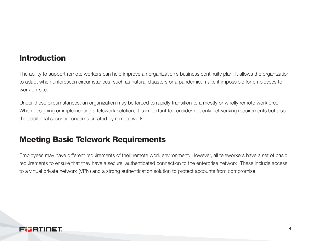## Introduction

The ability to support remote workers can help improve an organization's business continuity plan. It allows the organization to adapt when unforeseen circumstances, such as natural disasters or a pandemic, make it impossible for employees to work on-site.

Under these circumstances, an organization may be forced to rapidly transition to a mostly or wholly remote workforce. When designing or implementing a telework solution, it is important to consider not only networking requirements but also the additional security concerns created by remote work.

## Meeting Basic Telework Requirements

Employees may have different requirements of their remote work environment. However, all teleworkers have a set of basic requirements to ensure that they have a secure, authenticated connection to the enterprise network. These include access to a virtual private network (VPN) and a strong authentication solution to protect accounts from compromise.

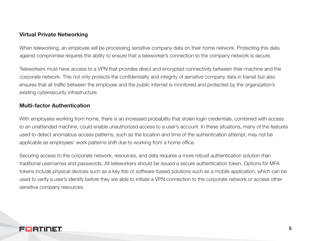### Virtual Private Networking

When teleworking, an employee will be processing sensitive company data on their home network. Protecting this data against compromise requires the ability to ensure that a teleworker's connection to the company network is secure.

Teleworkers must have access to a VPN that provides direct and encrypted connectivity between their machine and the corporate network. This not only protects the confidentiality and integrity of sensitive company data in transit but also ensures that all traffic between the employee and the public internet is monitored and protected by the organization's existing cybersecurity infrastructure.

#### Multi-factor Authentication

With employees working from home, there is an increased probability that stolen login credentials, combined with access to an unattended machine, could enable unauthorized access to a user's account. In these situations, many of the features used to detect anomalous access patterns, such as the location and time of the authentication attempt, may not be applicable as employees' work patterns shift due to working from a home office.

Securing access to the corporate network, resources, and data requires a more robust authentication solution than traditional usernames and passwords. All teleworkers should be issued a secure authentication token. Options for MFA tokens include physical devices such as a key fob or software-based solutions such as a mobile application, which can be used to verify a user's identify before they are able to initiate a VPN connection to the corporate network or access other sensitive company resources.

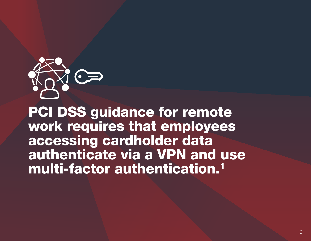

PCI DSS guidance for remote work requires that employees accessing cardholder data authenticate via a VPN and use multi-factor authentication.<sup>1</sup>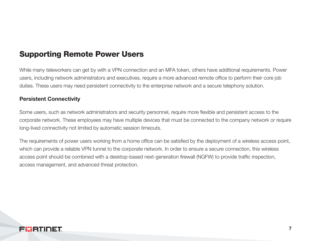## Supporting Remote Power Users

While many teleworkers can get by with a VPN connection and an MFA token, others have additional requirements. Power users, including network administrators and executives, require a more advanced remote office to perform their core job duties. These users may need persistent connectivity to the enterprise network and a secure telephony solution.

#### Persistent Connectivity

Some users, such as network administrators and security personnel, require more flexible and persistent access to the corporate network. These employees may have multiple devices that must be connected to the company network or require long-lived connectivity not limited by automatic session timeouts.

The requirements of power users working from a home office can be satisfied by the deployment of a wireless access point, which can provide a reliable VPN tunnel to the corporate network. In order to ensure a secure connection, this wireless access point should be combined with a desktop-based next-generation firewall (NGFW) to provide traffic inspection, access management, and advanced threat protection.

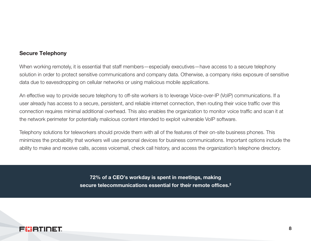#### Secure Telephony

When working remotely, it is essential that staff members—especially executives—have access to a secure telephony solution in order to protect sensitive communications and company data. Otherwise, a company risks exposure of sensitive data due to eavesdropping on cellular networks or using malicious mobile applications.

An effective way to provide secure telephony to off-site workers is to leverage Voice-over-IP (VoIP) communications. If a user already has access to a secure, persistent, and reliable internet connection, then routing their voice traffic over this connection requires minimal additional overhead. This also enables the organization to monitor voice traffic and scan it at the network perimeter for potentially malicious content intended to exploit vulnerable VoIP software.

Telephony solutions for teleworkers should provide them with all of the features of their on-site business phones. This minimizes the probability that workers will use personal devices for business communications. Important options include the ability to make and receive calls, access voicemail, check call history, and access the organization's telephone directory.

> 72% of a CEO's workday is spent in meetings, making secure telecommunications essential for their remote offices.<sup>2</sup>

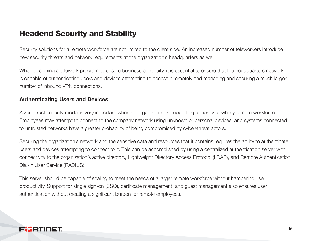## Headend Security and Stability

Security solutions for a remote workforce are not limited to the client side. An increased number of teleworkers introduce new security threats and network requirements at the organization's headquarters as well.

When designing a telework program to ensure business continuity, it is essential to ensure that the headquarters network is capable of authenticating users and devices attempting to access it remotely and managing and securing a much larger number of inbound VPN connections.

#### Authenticating Users and Devices

A zero-trust security model is very important when an organization is supporting a mostly or wholly remote workforce. Employees may attempt to connect to the company network using unknown or personal devices, and systems connected to untrusted networks have a greater probability of being compromised by cyber-threat actors.

Securing the organization's network and the sensitive data and resources that it contains requires the ability to authenticate users and devices attempting to connect to it. This can be accomplished by using a centralized authentication server with connectivity to the organization's active directory, Lightweight Directory Access Protocol (LDAP), and Remote Authentication Dial-In User Service (RADIUS).

This server should be capable of scaling to meet the needs of a larger remote workforce without hampering user productivity. Support for single sign-on (SSO), certificate management, and guest management also ensures user authentication without creating a significant burden for remote employees.

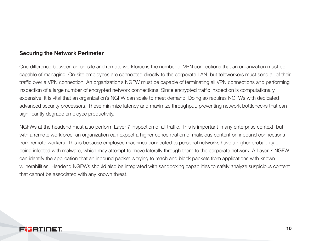#### Securing the Network Perimeter

One difference between an on-site and remote workforce is the number of VPN connections that an organization must be capable of managing. On-site employees are connected directly to the corporate LAN, but teleworkers must send all of their traffic over a VPN connection. An organization's NGFW must be capable of terminating all VPN connections and performing inspection of a large number of encrypted network connections. Since encrypted traffic inspection is computationally expensive, it is vital that an organization's NGFW can scale to meet demand. Doing so requires NGFWs with dedicated advanced security processors. These minimize latency and maximize throughput, preventing network bottlenecks that can significantly degrade employee productivity.

NGFWs at the headend must also perform Layer 7 inspection of all traffic. This is important in any enterprise context, but with a remote workforce, an organization can expect a higher concentration of malicious content on inbound connections from remote workers. This is because employee machines connected to personal networks have a higher probability of being infected with malware, which may attempt to move laterally through them to the corporate network. A Layer 7 NGFW can identify the application that an inbound packet is trying to reach and block packets from applications with known vulnerabilities. Headend NGFWs should also be integrated with sandboxing capabilities to safely analyze suspicious content that cannot be associated with any known threat.

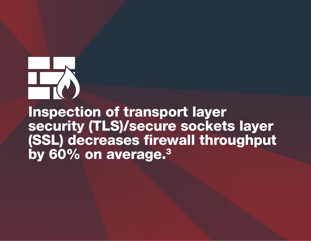

Inspection of transport layer security (TLS)/secure sockets layer (SSL) decreases firewall throughput by 60% on average.<sup>3</sup>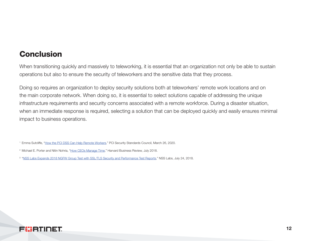## **Conclusion**

When transitioning quickly and massively to teleworking, it is essential that an organization not only be able to sustain operations but also to ensure the security of teleworkers and the sensitive data that they process.

Doing so requires an organization to deploy security solutions both at teleworkers' remote work locations and on the main corporate network. When doing so, it is essential to select solutions capable of addressing the unique infrastructure requirements and security concerns associated with a remote workforce. During a disaster situation, when an immediate response is required, selecting a solution that can be deployed quickly and easily ensures minimal impact to business operations.

<sup>1</sup> Emma Sutcliffe, ["How the PCI DSS Can Help Remote Workers](https://blog.pcisecuritystandards.org/how-the-pci-dss-can-help-remote-workers)," PCI Security Standards Council, March 26, 2020.

<sup>2</sup> Michael E. Porter and Nitin Nohria, ["How CEOs Manage Time,](https://hbr.org/2018/07/the-leaders-calendar#how-ceos-manage-time)" Harvard Business Review, July 2018.



<sup>&</sup>lt;sup>3</sup> ["NSS Labs Expands 2018 NGFW Group Test with SSL/TLS Security and Performance Test Reports,](https://www.globenewswire.com/news-release/2018/07/24/1541279/0/en/NSS-Labs-Expands-2018-NGFW-Group-Test-with-SSL-TLS-Security-and-Performance-Test-Reports.html)" NSS Labs, July 24, 2018.